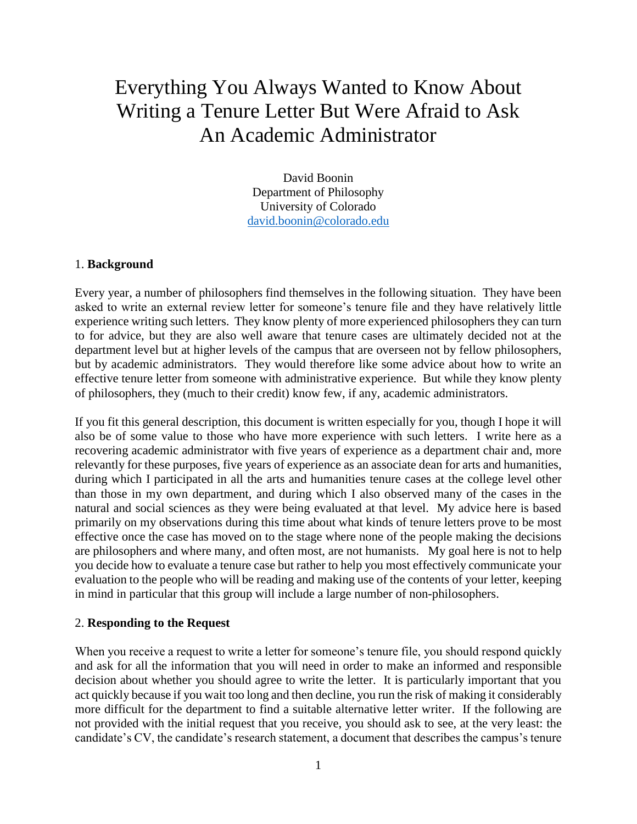# Everything You Always Wanted to Know About Writing a Tenure Letter But Were Afraid to Ask An Academic Administrator

David Boonin Department of Philosophy University of Colorado [david.boonin@colorado.edu](mailto:david.boonin@colorado.edu)

#### 1. **Background**

Every year, a number of philosophers find themselves in the following situation. They have been asked to write an external review letter for someone's tenure file and they have relatively little experience writing such letters. They know plenty of more experienced philosophers they can turn to for advice, but they are also well aware that tenure cases are ultimately decided not at the department level but at higher levels of the campus that are overseen not by fellow philosophers, but by academic administrators. They would therefore like some advice about how to write an effective tenure letter from someone with administrative experience. But while they know plenty of philosophers, they (much to their credit) know few, if any, academic administrators.

If you fit this general description, this document is written especially for you, though I hope it will also be of some value to those who have more experience with such letters. I write here as a recovering academic administrator with five years of experience as a department chair and, more relevantly for these purposes, five years of experience as an associate dean for arts and humanities, during which I participated in all the arts and humanities tenure cases at the college level other than those in my own department, and during which I also observed many of the cases in the natural and social sciences as they were being evaluated at that level. My advice here is based primarily on my observations during this time about what kinds of tenure letters prove to be most effective once the case has moved on to the stage where none of the people making the decisions are philosophers and where many, and often most, are not humanists. My goal here is not to help you decide how to evaluate a tenure case but rather to help you most effectively communicate your evaluation to the people who will be reading and making use of the contents of your letter, keeping in mind in particular that this group will include a large number of non-philosophers.

#### 2. **Responding to the Request**

When you receive a request to write a letter for someone's tenure file, you should respond quickly and ask for all the information that you will need in order to make an informed and responsible decision about whether you should agree to write the letter. It is particularly important that you act quickly because if you wait too long and then decline, you run the risk of making it considerably more difficult for the department to find a suitable alternative letter writer. If the following are not provided with the initial request that you receive, you should ask to see, at the very least: the candidate's CV, the candidate's research statement, a document that describes the campus's tenure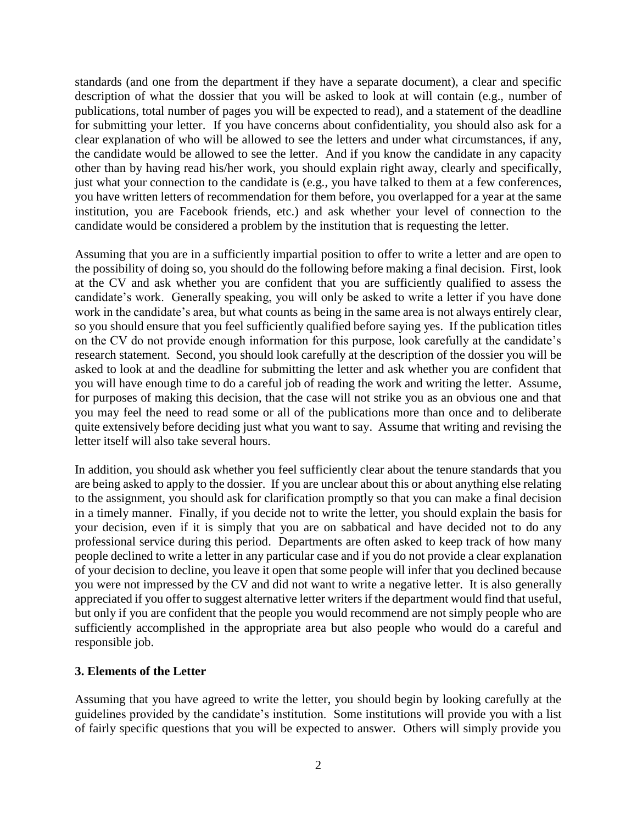standards (and one from the department if they have a separate document), a clear and specific description of what the dossier that you will be asked to look at will contain (e.g., number of publications, total number of pages you will be expected to read), and a statement of the deadline for submitting your letter. If you have concerns about confidentiality, you should also ask for a clear explanation of who will be allowed to see the letters and under what circumstances, if any, the candidate would be allowed to see the letter. And if you know the candidate in any capacity other than by having read his/her work, you should explain right away, clearly and specifically, just what your connection to the candidate is (e.g., you have talked to them at a few conferences, you have written letters of recommendation for them before, you overlapped for a year at the same institution, you are Facebook friends, etc.) and ask whether your level of connection to the candidate would be considered a problem by the institution that is requesting the letter.

Assuming that you are in a sufficiently impartial position to offer to write a letter and are open to the possibility of doing so, you should do the following before making a final decision. First, look at the CV and ask whether you are confident that you are sufficiently qualified to assess the candidate's work. Generally speaking, you will only be asked to write a letter if you have done work in the candidate's area, but what counts as being in the same area is not always entirely clear, so you should ensure that you feel sufficiently qualified before saying yes. If the publication titles on the CV do not provide enough information for this purpose, look carefully at the candidate's research statement. Second, you should look carefully at the description of the dossier you will be asked to look at and the deadline for submitting the letter and ask whether you are confident that you will have enough time to do a careful job of reading the work and writing the letter. Assume, for purposes of making this decision, that the case will not strike you as an obvious one and that you may feel the need to read some or all of the publications more than once and to deliberate quite extensively before deciding just what you want to say. Assume that writing and revising the letter itself will also take several hours.

In addition, you should ask whether you feel sufficiently clear about the tenure standards that you are being asked to apply to the dossier. If you are unclear about this or about anything else relating to the assignment, you should ask for clarification promptly so that you can make a final decision in a timely manner. Finally, if you decide not to write the letter, you should explain the basis for your decision, even if it is simply that you are on sabbatical and have decided not to do any professional service during this period. Departments are often asked to keep track of how many people declined to write a letter in any particular case and if you do not provide a clear explanation of your decision to decline, you leave it open that some people will infer that you declined because you were not impressed by the CV and did not want to write a negative letter. It is also generally appreciated if you offer to suggest alternative letter writers if the department would find that useful, but only if you are confident that the people you would recommend are not simply people who are sufficiently accomplished in the appropriate area but also people who would do a careful and responsible job.

### **3. Elements of the Letter**

Assuming that you have agreed to write the letter, you should begin by looking carefully at the guidelines provided by the candidate's institution. Some institutions will provide you with a list of fairly specific questions that you will be expected to answer. Others will simply provide you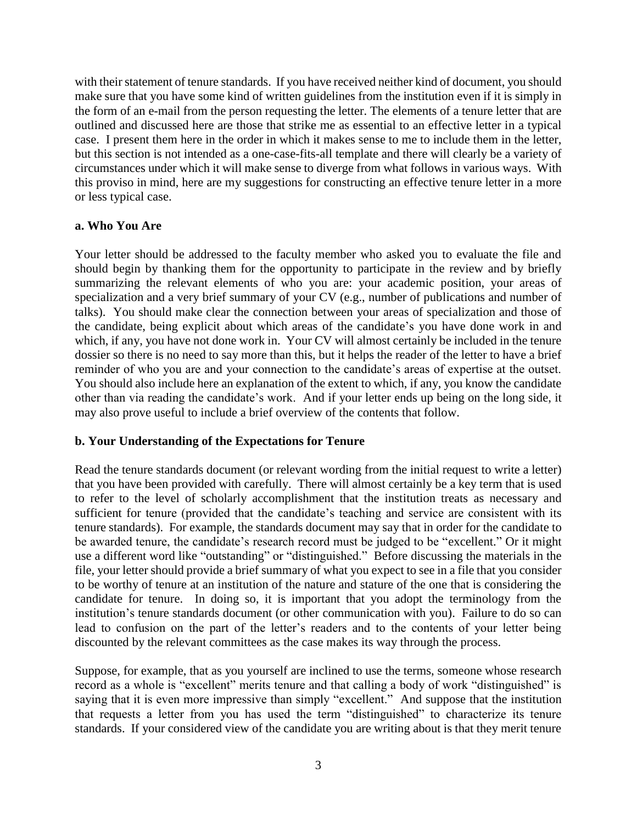with their statement of tenure standards. If you have received neither kind of document, you should make sure that you have some kind of written guidelines from the institution even if it is simply in the form of an e-mail from the person requesting the letter. The elements of a tenure letter that are outlined and discussed here are those that strike me as essential to an effective letter in a typical case. I present them here in the order in which it makes sense to me to include them in the letter, but this section is not intended as a one-case-fits-all template and there will clearly be a variety of circumstances under which it will make sense to diverge from what follows in various ways. With this proviso in mind, here are my suggestions for constructing an effective tenure letter in a more or less typical case.

# **a. Who You Are**

Your letter should be addressed to the faculty member who asked you to evaluate the file and should begin by thanking them for the opportunity to participate in the review and by briefly summarizing the relevant elements of who you are: your academic position, your areas of specialization and a very brief summary of your CV (e.g., number of publications and number of talks). You should make clear the connection between your areas of specialization and those of the candidate, being explicit about which areas of the candidate's you have done work in and which, if any, you have not done work in. Your CV will almost certainly be included in the tenure dossier so there is no need to say more than this, but it helps the reader of the letter to have a brief reminder of who you are and your connection to the candidate's areas of expertise at the outset. You should also include here an explanation of the extent to which, if any, you know the candidate other than via reading the candidate's work. And if your letter ends up being on the long side, it may also prove useful to include a brief overview of the contents that follow.

# **b. Your Understanding of the Expectations for Tenure**

Read the tenure standards document (or relevant wording from the initial request to write a letter) that you have been provided with carefully. There will almost certainly be a key term that is used to refer to the level of scholarly accomplishment that the institution treats as necessary and sufficient for tenure (provided that the candidate's teaching and service are consistent with its tenure standards). For example, the standards document may say that in order for the candidate to be awarded tenure, the candidate's research record must be judged to be "excellent." Or it might use a different word like "outstanding" or "distinguished." Before discussing the materials in the file, your letter should provide a brief summary of what you expect to see in a file that you consider to be worthy of tenure at an institution of the nature and stature of the one that is considering the candidate for tenure. In doing so, it is important that you adopt the terminology from the institution's tenure standards document (or other communication with you). Failure to do so can lead to confusion on the part of the letter's readers and to the contents of your letter being discounted by the relevant committees as the case makes its way through the process.

Suppose, for example, that as you yourself are inclined to use the terms, someone whose research record as a whole is "excellent" merits tenure and that calling a body of work "distinguished" is saying that it is even more impressive than simply "excellent." And suppose that the institution that requests a letter from you has used the term "distinguished" to characterize its tenure standards. If your considered view of the candidate you are writing about is that they merit tenure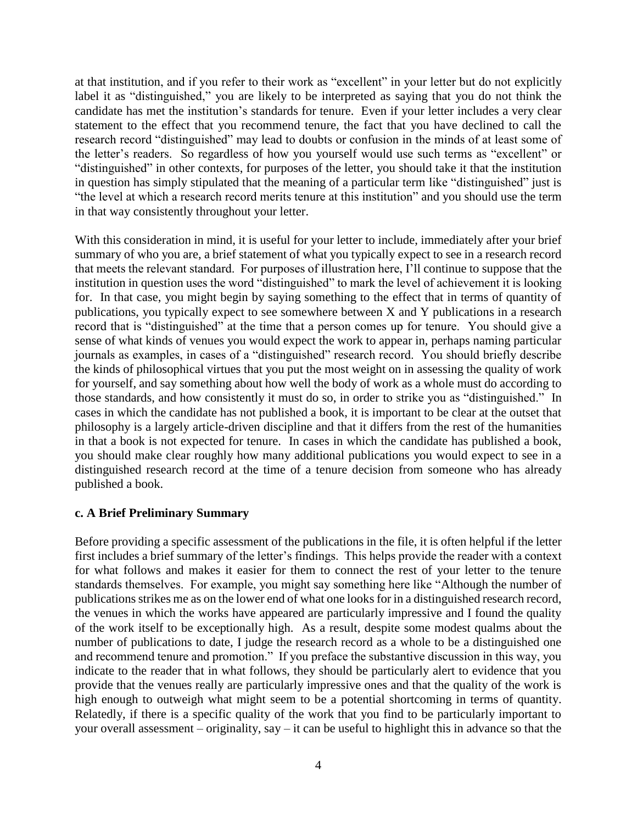at that institution, and if you refer to their work as "excellent" in your letter but do not explicitly label it as "distinguished," you are likely to be interpreted as saying that you do not think the candidate has met the institution's standards for tenure. Even if your letter includes a very clear statement to the effect that you recommend tenure, the fact that you have declined to call the research record "distinguished" may lead to doubts or confusion in the minds of at least some of the letter's readers. So regardless of how you yourself would use such terms as "excellent" or "distinguished" in other contexts, for purposes of the letter, you should take it that the institution in question has simply stipulated that the meaning of a particular term like "distinguished" just is "the level at which a research record merits tenure at this institution" and you should use the term in that way consistently throughout your letter.

With this consideration in mind, it is useful for your letter to include, immediately after your brief summary of who you are, a brief statement of what you typically expect to see in a research record that meets the relevant standard. For purposes of illustration here, I'll continue to suppose that the institution in question uses the word "distinguished" to mark the level of achievement it is looking for. In that case, you might begin by saying something to the effect that in terms of quantity of publications, you typically expect to see somewhere between X and Y publications in a research record that is "distinguished" at the time that a person comes up for tenure. You should give a sense of what kinds of venues you would expect the work to appear in, perhaps naming particular journals as examples, in cases of a "distinguished" research record. You should briefly describe the kinds of philosophical virtues that you put the most weight on in assessing the quality of work for yourself, and say something about how well the body of work as a whole must do according to those standards, and how consistently it must do so, in order to strike you as "distinguished." In cases in which the candidate has not published a book, it is important to be clear at the outset that philosophy is a largely article-driven discipline and that it differs from the rest of the humanities in that a book is not expected for tenure. In cases in which the candidate has published a book, you should make clear roughly how many additional publications you would expect to see in a distinguished research record at the time of a tenure decision from someone who has already published a book.

### **c. A Brief Preliminary Summary**

Before providing a specific assessment of the publications in the file, it is often helpful if the letter first includes a brief summary of the letter's findings. This helps provide the reader with a context for what follows and makes it easier for them to connect the rest of your letter to the tenure standards themselves. For example, you might say something here like "Although the number of publications strikes me as on the lower end of what one looks for in a distinguished research record, the venues in which the works have appeared are particularly impressive and I found the quality of the work itself to be exceptionally high. As a result, despite some modest qualms about the number of publications to date, I judge the research record as a whole to be a distinguished one and recommend tenure and promotion." If you preface the substantive discussion in this way, you indicate to the reader that in what follows, they should be particularly alert to evidence that you provide that the venues really are particularly impressive ones and that the quality of the work is high enough to outweigh what might seem to be a potential shortcoming in terms of quantity. Relatedly, if there is a specific quality of the work that you find to be particularly important to your overall assessment – originality, say – it can be useful to highlight this in advance so that the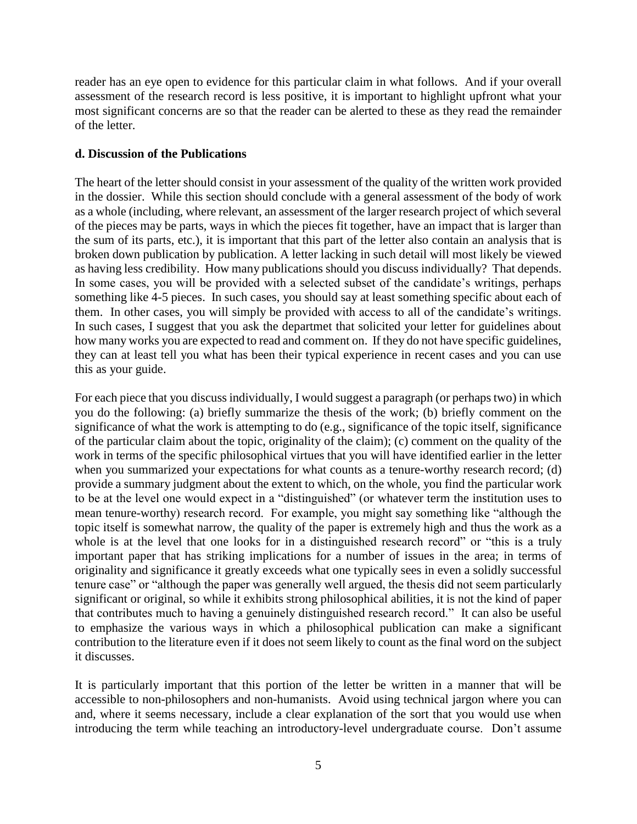reader has an eye open to evidence for this particular claim in what follows. And if your overall assessment of the research record is less positive, it is important to highlight upfront what your most significant concerns are so that the reader can be alerted to these as they read the remainder of the letter.

# **d. Discussion of the Publications**

The heart of the letter should consist in your assessment of the quality of the written work provided in the dossier. While this section should conclude with a general assessment of the body of work as a whole (including, where relevant, an assessment of the larger research project of which several of the pieces may be parts, ways in which the pieces fit together, have an impact that is larger than the sum of its parts, etc.), it is important that this part of the letter also contain an analysis that is broken down publication by publication. A letter lacking in such detail will most likely be viewed as having less credibility. How many publications should you discuss individually? That depends. In some cases, you will be provided with a selected subset of the candidate's writings, perhaps something like 4-5 pieces. In such cases, you should say at least something specific about each of them. In other cases, you will simply be provided with access to all of the candidate's writings. In such cases, I suggest that you ask the departmet that solicited your letter for guidelines about how many works you are expected to read and comment on. If they do not have specific guidelines, they can at least tell you what has been their typical experience in recent cases and you can use this as your guide.

For each piece that you discuss individually, I would suggest a paragraph (or perhaps two) in which you do the following: (a) briefly summarize the thesis of the work; (b) briefly comment on the significance of what the work is attempting to do (e.g., significance of the topic itself, significance of the particular claim about the topic, originality of the claim); (c) comment on the quality of the work in terms of the specific philosophical virtues that you will have identified earlier in the letter when you summarized your expectations for what counts as a tenure-worthy research record; (d) provide a summary judgment about the extent to which, on the whole, you find the particular work to be at the level one would expect in a "distinguished" (or whatever term the institution uses to mean tenure-worthy) research record. For example, you might say something like "although the topic itself is somewhat narrow, the quality of the paper is extremely high and thus the work as a whole is at the level that one looks for in a distinguished research record" or "this is a truly important paper that has striking implications for a number of issues in the area; in terms of originality and significance it greatly exceeds what one typically sees in even a solidly successful tenure case" or "although the paper was generally well argued, the thesis did not seem particularly significant or original, so while it exhibits strong philosophical abilities, it is not the kind of paper that contributes much to having a genuinely distinguished research record." It can also be useful to emphasize the various ways in which a philosophical publication can make a significant contribution to the literature even if it does not seem likely to count as the final word on the subject it discusses.

It is particularly important that this portion of the letter be written in a manner that will be accessible to non-philosophers and non-humanists. Avoid using technical jargon where you can and, where it seems necessary, include a clear explanation of the sort that you would use when introducing the term while teaching an introductory-level undergraduate course. Don't assume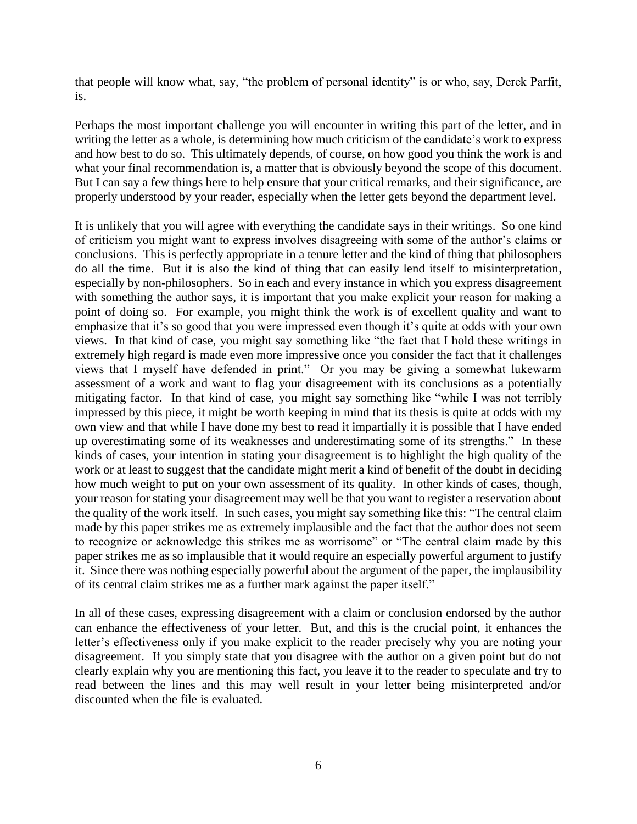that people will know what, say, "the problem of personal identity" is or who, say, Derek Parfit, is.

Perhaps the most important challenge you will encounter in writing this part of the letter, and in writing the letter as a whole, is determining how much criticism of the candidate's work to express and how best to do so. This ultimately depends, of course, on how good you think the work is and what your final recommendation is, a matter that is obviously beyond the scope of this document. But I can say a few things here to help ensure that your critical remarks, and their significance, are properly understood by your reader, especially when the letter gets beyond the department level.

It is unlikely that you will agree with everything the candidate says in their writings. So one kind of criticism you might want to express involves disagreeing with some of the author's claims or conclusions. This is perfectly appropriate in a tenure letter and the kind of thing that philosophers do all the time. But it is also the kind of thing that can easily lend itself to misinterpretation, especially by non-philosophers. So in each and every instance in which you express disagreement with something the author says, it is important that you make explicit your reason for making a point of doing so. For example, you might think the work is of excellent quality and want to emphasize that it's so good that you were impressed even though it's quite at odds with your own views. In that kind of case, you might say something like "the fact that I hold these writings in extremely high regard is made even more impressive once you consider the fact that it challenges views that I myself have defended in print." Or you may be giving a somewhat lukewarm assessment of a work and want to flag your disagreement with its conclusions as a potentially mitigating factor. In that kind of case, you might say something like "while I was not terribly impressed by this piece, it might be worth keeping in mind that its thesis is quite at odds with my own view and that while I have done my best to read it impartially it is possible that I have ended up overestimating some of its weaknesses and underestimating some of its strengths." In these kinds of cases, your intention in stating your disagreement is to highlight the high quality of the work or at least to suggest that the candidate might merit a kind of benefit of the doubt in deciding how much weight to put on your own assessment of its quality. In other kinds of cases, though, your reason for stating your disagreement may well be that you want to register a reservation about the quality of the work itself. In such cases, you might say something like this: "The central claim made by this paper strikes me as extremely implausible and the fact that the author does not seem to recognize or acknowledge this strikes me as worrisome" or "The central claim made by this paper strikes me as so implausible that it would require an especially powerful argument to justify it. Since there was nothing especially powerful about the argument of the paper, the implausibility of its central claim strikes me as a further mark against the paper itself."

In all of these cases, expressing disagreement with a claim or conclusion endorsed by the author can enhance the effectiveness of your letter. But, and this is the crucial point, it enhances the letter's effectiveness only if you make explicit to the reader precisely why you are noting your disagreement. If you simply state that you disagree with the author on a given point but do not clearly explain why you are mentioning this fact, you leave it to the reader to speculate and try to read between the lines and this may well result in your letter being misinterpreted and/or discounted when the file is evaluated.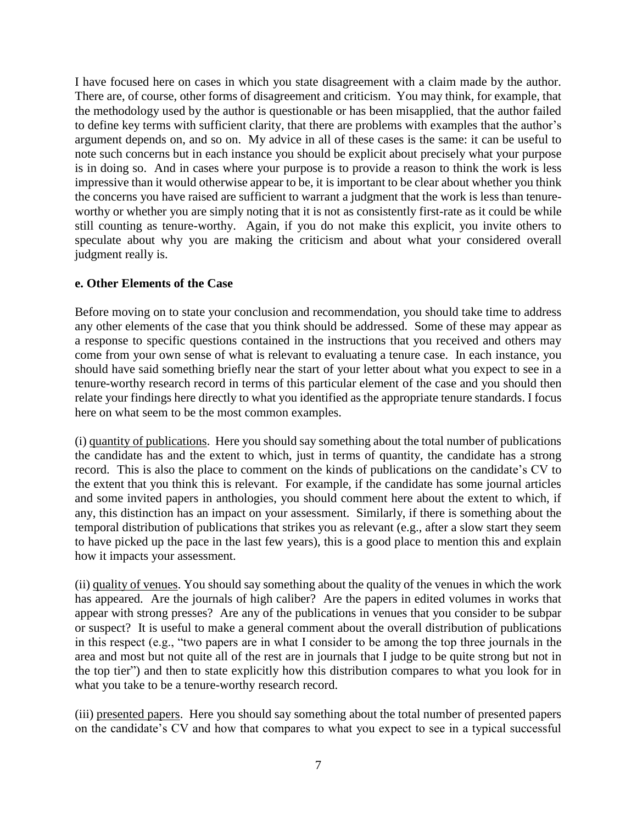I have focused here on cases in which you state disagreement with a claim made by the author. There are, of course, other forms of disagreement and criticism. You may think, for example, that the methodology used by the author is questionable or has been misapplied, that the author failed to define key terms with sufficient clarity, that there are problems with examples that the author's argument depends on, and so on. My advice in all of these cases is the same: it can be useful to note such concerns but in each instance you should be explicit about precisely what your purpose is in doing so. And in cases where your purpose is to provide a reason to think the work is less impressive than it would otherwise appear to be, it is important to be clear about whether you think the concerns you have raised are sufficient to warrant a judgment that the work is less than tenureworthy or whether you are simply noting that it is not as consistently first-rate as it could be while still counting as tenure-worthy. Again, if you do not make this explicit, you invite others to speculate about why you are making the criticism and about what your considered overall judgment really is.

# **e. Other Elements of the Case**

Before moving on to state your conclusion and recommendation, you should take time to address any other elements of the case that you think should be addressed. Some of these may appear as a response to specific questions contained in the instructions that you received and others may come from your own sense of what is relevant to evaluating a tenure case. In each instance, you should have said something briefly near the start of your letter about what you expect to see in a tenure-worthy research record in terms of this particular element of the case and you should then relate your findings here directly to what you identified as the appropriate tenure standards. I focus here on what seem to be the most common examples.

(i) quantity of publications. Here you should say something about the total number of publications the candidate has and the extent to which, just in terms of quantity, the candidate has a strong record. This is also the place to comment on the kinds of publications on the candidate's CV to the extent that you think this is relevant. For example, if the candidate has some journal articles and some invited papers in anthologies, you should comment here about the extent to which, if any, this distinction has an impact on your assessment. Similarly, if there is something about the temporal distribution of publications that strikes you as relevant (e.g., after a slow start they seem to have picked up the pace in the last few years), this is a good place to mention this and explain how it impacts your assessment.

(ii) quality of venues. You should say something about the quality of the venues in which the work has appeared. Are the journals of high caliber? Are the papers in edited volumes in works that appear with strong presses? Are any of the publications in venues that you consider to be subpar or suspect? It is useful to make a general comment about the overall distribution of publications in this respect (e.g., "two papers are in what I consider to be among the top three journals in the area and most but not quite all of the rest are in journals that I judge to be quite strong but not in the top tier") and then to state explicitly how this distribution compares to what you look for in what you take to be a tenure-worthy research record.

(iii) presented papers. Here you should say something about the total number of presented papers on the candidate's CV and how that compares to what you expect to see in a typical successful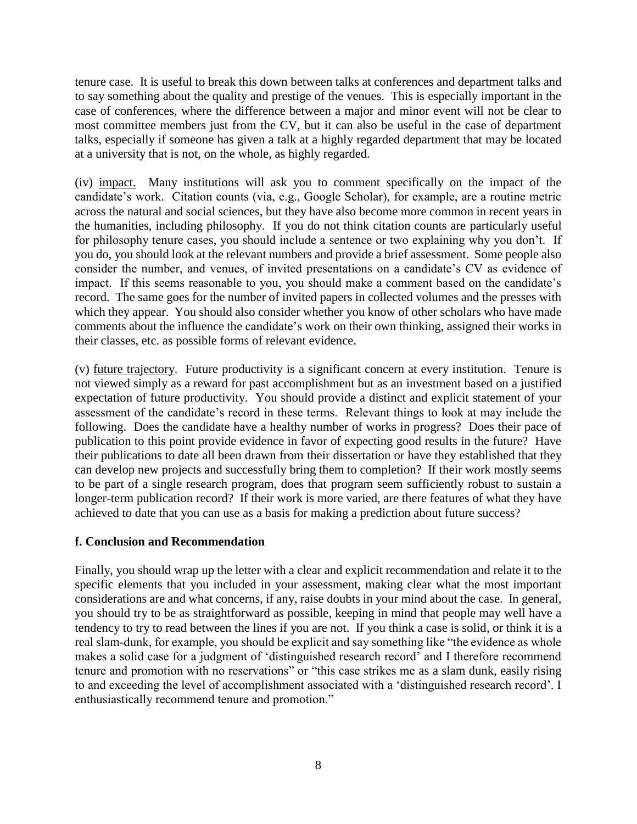tenure case. It is useful to break this down between talks at conferences and department talks and to say something about the quality and prestige of the venues. This is especially important in the case of conferences, where the difference between a major and minor event will not be clear to most committee members just from the CV, but it can also be useful in the case of department talks, especially if someone has given a talk at a highly regarded department that may be located at a university that is not, on the whole, as highly regarded.

(iv) impact. Many institutions will ask you to comment specifically on the impact of the candidate's work. Citation counts (via, e.g., Google Scholar), for example, are a routine metric across the natural and social sciences, but they have also become more common in recent years in the humanities, including philosophy. If you do not think citation counts are particularly useful for philosophy tenure cases, you should include a sentence or two explaining why you don't. If you do, you should look at the relevant numbers and provide a brief assessment. Some people also consider the number, and venues, of invited presentations on a candidate's CV as evidence of impact. If this seems reasonable to you, you should make a comment based on the candidate's record. The same goes for the number of invited papers in collected volumes and the presses with which they appear. You should also consider whether you know of other scholars who have made comments about the influence the candidate's work on their own thinking, assigned their works in their classes, etc. as possible forms of relevant evidence.

(v) future trajectory. Future productivity is a significant concern at every institution. Tenure is not viewed simply as a reward for past accomplishment but as an investment based on a justified expectation of future productivity. You should provide a distinct and explicit statement of your assessment of the candidate's record in these terms. Relevant things to look at may include the following. Does the candidate have a healthy number of works in progress? Does their pace of publication to this point provide evidence in favor of expecting good results in the future? Have their publications to date all been drawn from their dissertation or have they established that they can develop new projects and successfully bring them to completion? If their work mostly seems to be part of a single research program, does that program seem sufficiently robust to sustain a longer-term publication record? If their work is more varied, are there features of what they have achieved to date that you can use as a basis for making a prediction about future success?

### **f. Conclusion and Recommendation**

Finally, you should wrap up the letter with a clear and explicit recommendation and relate it to the specific elements that you included in your assessment, making clear what the most important considerations are and what concerns, if any, raise doubts in your mind about the case. In general, you should try to be as straightforward as possible, keeping in mind that people may well have a tendency to try to read between the lines if you are not. If you think a case is solid, or think it is a real slam-dunk, for example, you should be explicit and say something like "the evidence as whole makes a solid case for a judgment of 'distinguished research record' and I therefore recommend tenure and promotion with no reservations" or "this case strikes me as a slam dunk, easily rising to and exceeding the level of accomplishment associated with a 'distinguished research record'. I enthusiastically recommend tenure and promotion."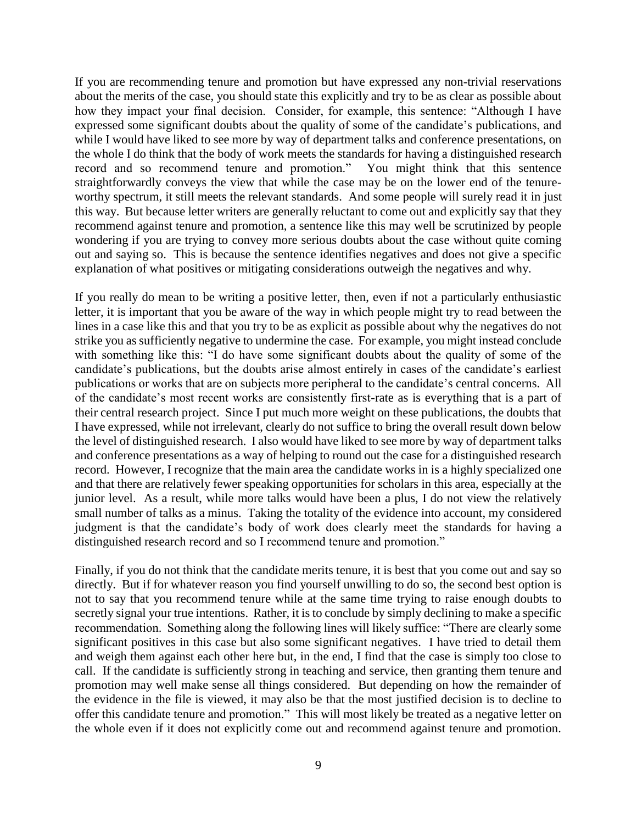If you are recommending tenure and promotion but have expressed any non-trivial reservations about the merits of the case, you should state this explicitly and try to be as clear as possible about how they impact your final decision. Consider, for example, this sentence: "Although I have expressed some significant doubts about the quality of some of the candidate's publications, and while I would have liked to see more by way of department talks and conference presentations, on the whole I do think that the body of work meets the standards for having a distinguished research record and so recommend tenure and promotion." You might think that this sentence straightforwardly conveys the view that while the case may be on the lower end of the tenureworthy spectrum, it still meets the relevant standards. And some people will surely read it in just this way. But because letter writers are generally reluctant to come out and explicitly say that they recommend against tenure and promotion, a sentence like this may well be scrutinized by people wondering if you are trying to convey more serious doubts about the case without quite coming out and saying so. This is because the sentence identifies negatives and does not give a specific explanation of what positives or mitigating considerations outweigh the negatives and why.

If you really do mean to be writing a positive letter, then, even if not a particularly enthusiastic letter, it is important that you be aware of the way in which people might try to read between the lines in a case like this and that you try to be as explicit as possible about why the negatives do not strike you as sufficiently negative to undermine the case. For example, you might instead conclude with something like this: "I do have some significant doubts about the quality of some of the candidate's publications, but the doubts arise almost entirely in cases of the candidate's earliest publications or works that are on subjects more peripheral to the candidate's central concerns. All of the candidate's most recent works are consistently first-rate as is everything that is a part of their central research project. Since I put much more weight on these publications, the doubts that I have expressed, while not irrelevant, clearly do not suffice to bring the overall result down below the level of distinguished research. I also would have liked to see more by way of department talks and conference presentations as a way of helping to round out the case for a distinguished research record. However, I recognize that the main area the candidate works in is a highly specialized one and that there are relatively fewer speaking opportunities for scholars in this area, especially at the junior level. As a result, while more talks would have been a plus, I do not view the relatively small number of talks as a minus. Taking the totality of the evidence into account, my considered judgment is that the candidate's body of work does clearly meet the standards for having a distinguished research record and so I recommend tenure and promotion."

Finally, if you do not think that the candidate merits tenure, it is best that you come out and say so directly. But if for whatever reason you find yourself unwilling to do so, the second best option is not to say that you recommend tenure while at the same time trying to raise enough doubts to secretly signal your true intentions. Rather, it is to conclude by simply declining to make a specific recommendation. Something along the following lines will likely suffice: "There are clearly some significant positives in this case but also some significant negatives. I have tried to detail them and weigh them against each other here but, in the end, I find that the case is simply too close to call. If the candidate is sufficiently strong in teaching and service, then granting them tenure and promotion may well make sense all things considered. But depending on how the remainder of the evidence in the file is viewed, it may also be that the most justified decision is to decline to offer this candidate tenure and promotion." This will most likely be treated as a negative letter on the whole even if it does not explicitly come out and recommend against tenure and promotion.